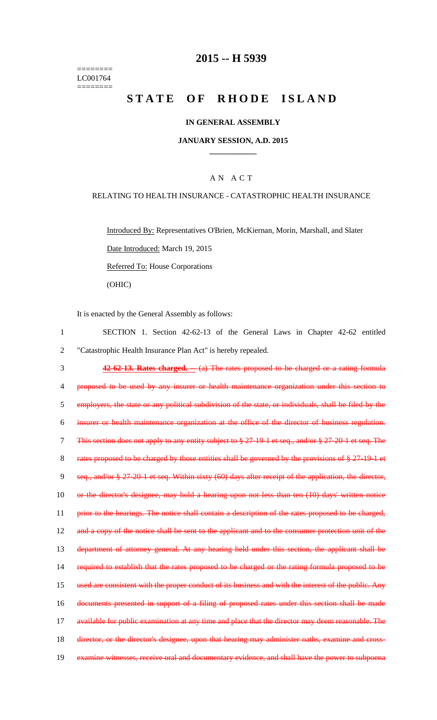======== LC001764 ========

## **2015 -- H 5939**

# **STATE OF RHODE ISLAND**

#### **IN GENERAL ASSEMBLY**

#### **JANUARY SESSION, A.D. 2015 \_\_\_\_\_\_\_\_\_\_\_\_**

### A N A C T

#### RELATING TO HEALTH INSURANCE - CATASTROPHIC HEALTH INSURANCE

Introduced By: Representatives O'Brien, McKiernan, Morin, Marshall, and Slater Date Introduced: March 19, 2015 Referred To: House Corporations (OHIC)

It is enacted by the General Assembly as follows:

1 SECTION 1. Section 42-62-13 of the General Laws in Chapter 42-62 entitled 2 "Catastrophic Health Insurance Plan Act" is hereby repealed. 3 **42-62-13. Rates charged. --** (a) The rates proposed to be charged or a rating formula 4 proposed to be used by any insurer or health maintenance organization under this section to 5 employers, the state or any political subdivision of the state, or individuals, shall be filed by the 6 insurer or health maintenance organization at the office of the director of business regulation. 7 This section does not apply to any entity subject to § 27-19-1 et seq., and/or § 27-20-1 et seq. The 8 rates proposed to be charged by those entities shall be governed by the provisions of § 27-19-1 et 9 seq., and/or § 27-20-1 et seq. Within sixty (60) days after receipt of the application, the director, 10 or the director's designee, may hold a hearing upon not less than ten (10) days' written notice 11 prior to the hearings. The notice shall contain a description of the rates proposed to be charged, 12 and a copy of the notice shall be sent to the applicant and to the consumer protection unit of the 13 department of attorney general. At any hearing held under this section, the applicant shall be 14 required to establish that the rates proposed to be charged or the rating formula proposed to be 15 used are consistent with the proper conduct of its business and with the interest of the public. Any 16 documents presented in support of a filing of proposed rates under this section shall be made 17 available for public examination at any time and place that the director may deem reasonable. The 18 director, or the director's designee, upon that hearing may administer oaths, examine and cross-19 examine witnesses, receive oral and documentary evidence, and shall have the power to subpoena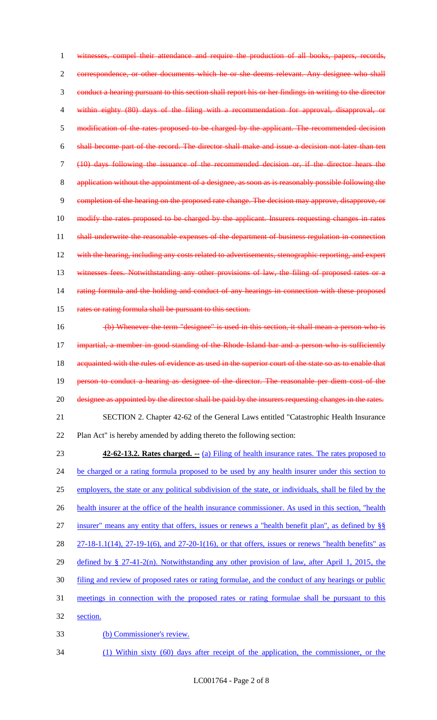witnesses, compel their attendance and require the production of all books, papers, records, correspondence, or other documents which he or she deems relevant. Any designee who shall conduct a hearing pursuant to this section shall report his or her findings in writing to the director within eighty (80) days of the filing with a recommendation for approval, disapproval, or 5 modification of the rates proposed to be charged by the applicant. The recommended decision shall become part of the record. The director shall make and issue a decision not later than ten (10) days following the issuance of the recommended decision or, if the director hears the application without the appointment of a designee, as soon as is reasonably possible following the completion of the hearing on the proposed rate change. The decision may approve, disapprove, or 10 modify the rates proposed to be charged by the applicant. Insurers requesting changes in rates 11 shall underwrite the reasonable expenses of the department of business regulation in connection 12 with the hearing, including any costs related to advertisements, stenographic reporting, and expert 13 witnesses fees. Notwithstanding any other provisions of law, the filing of proposed rates or a 14 rating formula and the holding and conduct of any hearings in connection with these proposed 15 rates or rating formula shall be pursuant to this section.

 (b) Whenever the term "designee" is used in this section, it shall mean a person who is impartial, a member in good standing of the Rhode Island bar and a person who is sufficiently 18 acquainted with the rules of evidence as used in the superior court of the state so as to enable that person to conduct a hearing as designee of the director. The reasonable per diem cost of the 20 designee as appointed by the director shall be paid by the insurers requesting changes in the rates. SECTION 2. Chapter 42-62 of the General Laws entitled "Catastrophic Health Insurance Plan Act" is hereby amended by adding thereto the following section:

 **42-62-13.2. Rates charged. --** (a) Filing of health insurance rates. The rates proposed to 24 be charged or a rating formula proposed to be used by any health insurer under this section to employers, the state or any political subdivision of the state, or individuals, shall be filed by the health insurer at the office of the health insurance commissioner. As used in this section, "health insurer" means any entity that offers, issues or renews a "health benefit plan", as defined by §§ 27-18-1.1(14), 27-19-1(6), and 27-20-1(16), or that offers, issues or renews "health benefits" as defined by § 27-41-2(n). Notwithstanding any other provision of law, after April 1, 2015, the filing and review of proposed rates or rating formulae, and the conduct of any hearings or public meetings in connection with the proposed rates or rating formulae shall be pursuant to this section. (b) Commissioner's review.

(1) Within sixty (60) days after receipt of the application, the commissioner, or the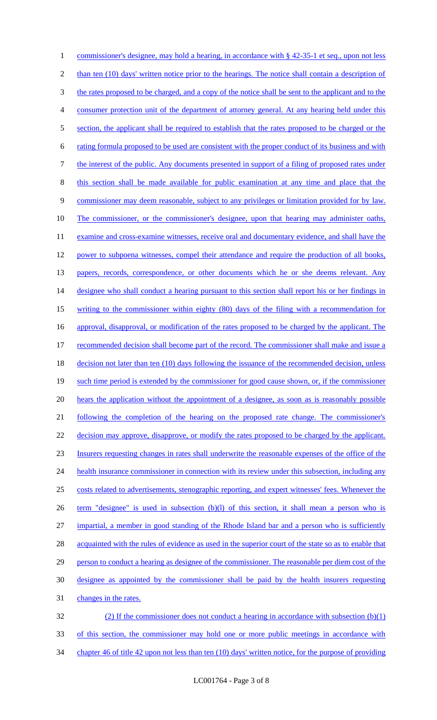1 commissioner's designee, may hold a hearing, in accordance with § 42-35-1 et seq., upon not less 2 than ten (10) days' written notice prior to the hearings. The notice shall contain a description of 3 the rates proposed to be charged, and a copy of the notice shall be sent to the applicant and to the 4 consumer protection unit of the department of attorney general. At any hearing held under this 5 section, the applicant shall be required to establish that the rates proposed to be charged or the 6 rating formula proposed to be used are consistent with the proper conduct of its business and with 7 the interest of the public. Any documents presented in support of a filing of proposed rates under 8 this section shall be made available for public examination at any time and place that the 9 commissioner may deem reasonable, subject to any privileges or limitation provided for by law. 10 The commissioner, or the commissioner's designee, upon that hearing may administer oaths, 11 examine and cross-examine witnesses, receive oral and documentary evidence, and shall have the 12 power to subpoena witnesses, compel their attendance and require the production of all books, 13 papers, records, correspondence, or other documents which he or she deems relevant. Any 14 designee who shall conduct a hearing pursuant to this section shall report his or her findings in 15 writing to the commissioner within eighty (80) days of the filing with a recommendation for 16 approval, disapproval, or modification of the rates proposed to be charged by the applicant. The 17 recommended decision shall become part of the record. The commissioner shall make and issue a 18 decision not later than ten (10) days following the issuance of the recommended decision, unless 19 such time period is extended by the commissioner for good cause shown, or, if the commissioner 20 hears the application without the appointment of a designee, as soon as is reasonably possible 21 following the completion of the hearing on the proposed rate change. The commissioner's 22 decision may approve, disapprove, or modify the rates proposed to be charged by the applicant. 23 Insurers requesting changes in rates shall underwrite the reasonable expenses of the office of the 24 health insurance commissioner in connection with its review under this subsection, including any 25 costs related to advertisements, stenographic reporting, and expert witnesses' fees. Whenever the 26 term "designee" is used in subsection (b)(l) of this section, it shall mean a person who is 27 impartial, a member in good standing of the Rhode Island bar and a person who is sufficiently 28 acquainted with the rules of evidence as used in the superior court of the state so as to enable that 29 person to conduct a hearing as designee of the commissioner. The reasonable per diem cost of the 30 designee as appointed by the commissioner shall be paid by the health insurers requesting 31 changes in the rates. 32 (2) If the commissioner does not conduct a hearing in accordance with subsection (b)(1)

33 of this section, the commissioner may hold one or more public meetings in accordance with 34 chapter 46 of title 42 upon not less than ten (10) days' written notice, for the purpose of providing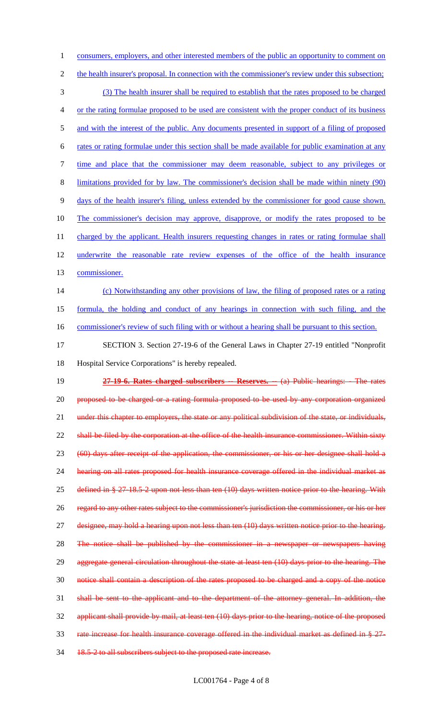1 consumers, employers, and other interested members of the public an opportunity to comment on 2 the health insurer's proposal. In connection with the commissioner's review under this subsection; (3) The health insurer shall be required to establish that the rates proposed to be charged or the rating formulae proposed to be used are consistent with the proper conduct of its business 5 and with the interest of the public. Any documents presented in support of a filing of proposed rates or rating formulae under this section shall be made available for public examination at any time and place that the commissioner may deem reasonable, subject to any privileges or limitations provided for by law. The commissioner's decision shall be made within ninety (90) days of the health insurer's filing, unless extended by the commissioner for good cause shown. The commissioner's decision may approve, disapprove, or modify the rates proposed to be 11 charged by the applicant. Health insurers requesting changes in rates or rating formulae shall underwrite the reasonable rate review expenses of the office of the health insurance commissioner. (c) Notwithstanding any other provisions of law, the filing of proposed rates or a rating formula, the holding and conduct of any hearings in connection with such filing, and the 16 commissioner's review of such filing with or without a hearing shall be pursuant to this section. SECTION 3. Section 27-19-6 of the General Laws in Chapter 27-19 entitled "Nonprofit Hospital Service Corporations" is hereby repealed. **27-19-6. Rates charged subscribers -- Reserves. --** (a) Public hearings: - The rates proposed to be charged or a rating formula proposed to be used by any corporation organized 21 under this chapter to employers, the state or any political subdivision of the state, or individuals, 22 shall be filed by the corporation at the office of the health insurance commissioner. Within sixty (60) days after receipt of the application, the commissioner, or his or her designee shall hold a hearing on all rates proposed for health insurance coverage offered in the individual market as defined in § 27-18.5-2 upon not less than ten (10) days written notice prior to the hearing. With regard to any other rates subject to the commissioner's jurisdiction the commissioner, or his or her designee, may hold a hearing upon not less than ten (10) days written notice prior to the hearing. The notice shall be published by the commissioner in a newspaper or newspapers having 29 aggregate general circulation throughout the state at least ten (10) days prior to the hearing. The notice shall contain a description of the rates proposed to be charged and a copy of the notice shall be sent to the applicant and to the department of the attorney general. In addition, the applicant shall provide by mail, at least ten (10) days prior to the hearing, notice of the proposed rate increase for health insurance coverage offered in the individual market as defined in § 27- 34 18.5-2 to all subscribers subject to the proposed rate increase.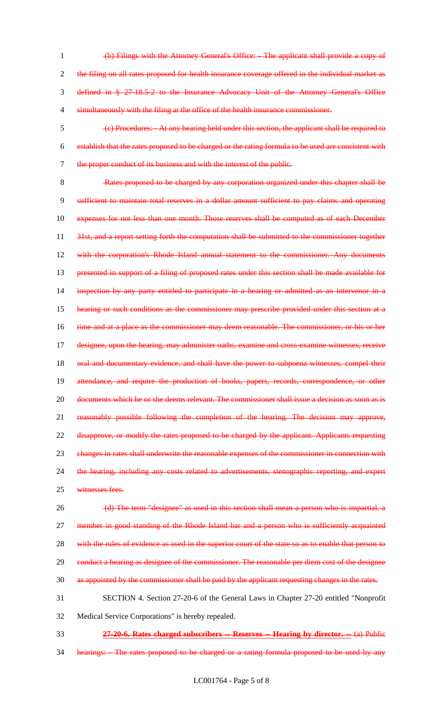- 1 (b) Filings with the Attorney General's Office: The applicant shall provide a copy of 2 the filing on all rates proposed for health insurance coverage offered in the individual market as 3 defined in § 27-18.5-2 to the Insurance Advocacy Unit of the Attorney General's Office 4 simultaneously with the filing at the office of the health insurance commissioner.
- 5 (c) Procedures: At any hearing held under this section, the applicant shall be required to 6 establish that the rates proposed to be charged or the rating formula to be used are consistent with 7 the proper conduct of its business and with the interest of the public.

8 Rates proposed to be charged by any corporation organized under this chapter shall be 9 sufficient to maintain total reserves in a dollar amount sufficient to pay claims and operating 10 expenses for not less than one month. Those reserves shall be computed as of each December 11 31st, and a report setting forth the computation shall be submitted to the commissioner together 12 with the corporation's Rhode Island annual statement to the commissioner. Any documents 13 presented in support of a filing of proposed rates under this section shall be made available for 14 inspection by any party entitled to participate in a hearing or admitted as an intervenor in a 15 hearing or such conditions as the commissioner may prescribe provided under this section at a 16 time and at a place as the commissioner may deem reasonable. The commissioner, or his or her 17 designee, upon the hearing, may administer oaths, examine and cross-examine witnesses, receive 18 oral and documentary evidence, and shall have the power to subpoena witnesses, compel their 19 attendance, and require the production of books, papers, records, correspondence, or other 20 documents which he or she deems relevant. The commissioner shall issue a decision as soon as is 21 reasonably possible following the completion of the hearing. The decision may approve, 22 disapprove, or modify the rates proposed to be charged by the applicant. Applicants requesting 23 changes in rates shall underwrite the reasonable expenses of the commissioner in connection with 24 the hearing, including any costs related to advertisements, stenographic reporting, and expert

25 witnesses fees.

26 (d) The term "designee" as used in this section shall mean a person who is impartial, a 27 member in good standing of the Rhode Island bar and a person who is sufficiently acquainted 28 with the rules of evidence as used in the superior court of the state so as to enable that person to 29 conduct a hearing as designee of the commissioner. The reasonable per diem cost of the designee 30 as appointed by the commissioner shall be paid by the applicant requesting changes in the rates. 31 SECTION 4. Section 27-20-6 of the General Laws in Chapter 27-20 entitled "Nonprofit

- 32 Medical Service Corporations" is hereby repealed.
- 33 **27-20-6. Rates charged subscribers -- Reserves -- Hearing by director. --** (a) Public
- 34 hearings: The rates proposed to be charged or a rating formula proposed to be used by any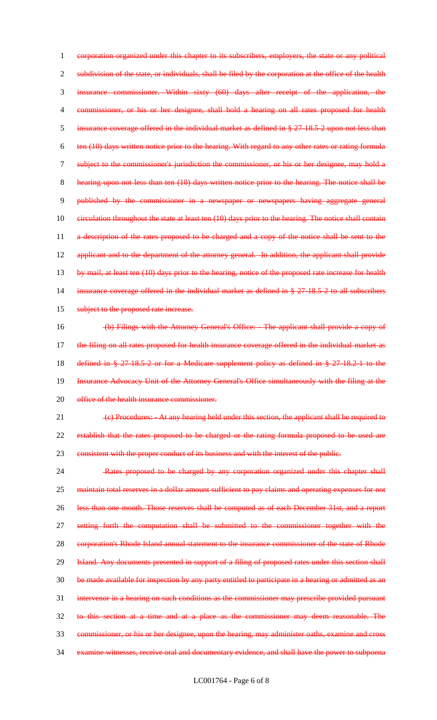corporation organized under this chapter to its subscribers, employers, the state or any political 2 subdivision of the state, or individuals, shall be filed by the corporation at the office of the health insurance commissioner. Within sixty (60) days after receipt of the application, the commissioner, or his or her designee, shall hold a hearing on all rates proposed for health insurance coverage offered in the individual market as defined in § 27-18.5-2 upon not less than ten (10) days written notice prior to the hearing. With regard to any other rates or rating formula subject to the commissioner's jurisdiction the commissioner, or his or her designee, may hold a hearing upon not less than ten (10) days written notice prior to the hearing. The notice shall be published by the commissioner in a newspaper or newspapers having aggregate general 10 eirculation throughout the state at least ten (10) days prior to the hearing. The notice shall contain 11 a description of the rates proposed to be charged and a copy of the notice shall be sent to the 12 applicant and to the department of the attorney general. In addition, the applicant shall provide 13 by mail, at least ten (10) days prior to the hearing, notice of the proposed rate increase for health insurance coverage offered in the individual market as defined in § 27-18.5-2 to all subscribers 15 subject to the proposed rate increase. (b) Filings with the Attorney General's Office: - The applicant shall provide a copy of the filing on all rates proposed for health insurance coverage offered in the individual market as defined in § 27-18.5-2 or for a Medicare supplement policy as defined in § 27-18.2-1 to the Insurance Advocacy Unit of the Attorney General's Office simultaneously with the filing at the 20 office of the health insurance commissioner. 21 (c) Procedures: - At any hearing held under this section, the applicant shall be required to establish that the rates proposed to be charged or the rating formula proposed to be used are 23 consistent with the proper conduct of its business and with the interest of the public. Rates proposed to be charged by any corporation organized under this chapter shall

25 maintain total reserves in a dollar amount sufficient to pay claims and operating expenses for not less than one month. Those reserves shall be computed as of each December 31st, and a report setting forth the computation shall be submitted to the commissioner together with the 28 corporation's Rhode Island annual statement to the insurance commissioner of the state of Rhode 29 Island. Any documents presented in support of a filing of proposed rates under this section shall be made available for inspection by any party entitled to participate in a hearing or admitted as an intervenor in a hearing on such conditions as the commissioner may prescribe provided pursuant to this section at a time and at a place as the commissioner may deem reasonable. The commissioner, or his or her designee, upon the hearing, may administer oaths, examine and cross examine witnesses, receive oral and documentary evidence, and shall have the power to subpoena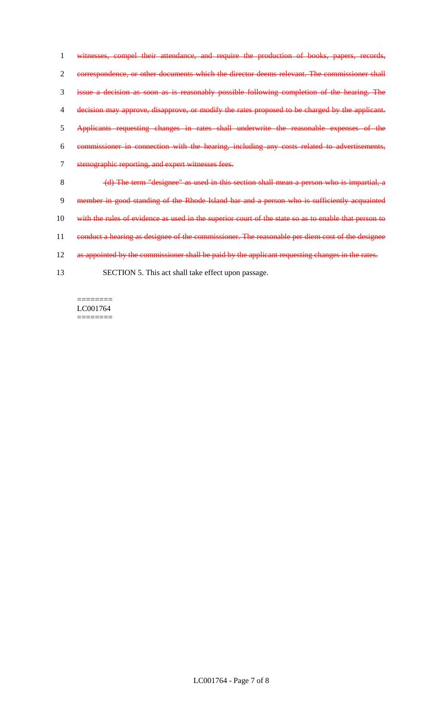witnesses, compel their attendance, and require the production of books, papers, records, correspondence, or other documents which the director deems relevant. The commissioner shall issue a decision as soon as is reasonably possible following completion of the hearing. The decision may approve, disapprove, or modify the rates proposed to be charged by the applicant. Applicants requesting changes in rates shall underwrite the reasonable expenses of the commissioner in connection with the hearing, including any costs related to advertisements, stenographic reporting, and expert witnesses fees. (d) The term "designee" as used in this section shall mean a person who is impartial, a 9 member in good standing of the Rhode Island bar and a person who is sufficiently acquainted 10 with the rules of evidence as used in the superior court of the state so as to enable that person to 11 conduct a hearing as designee of the commissioner. The reasonable per diem cost of the designee 12 as appointed by the commissioner shall be paid by the applicant requesting changes in the rates.

13 SECTION 5. This act shall take effect upon passage.

LC001764  $=$ 

 $=$